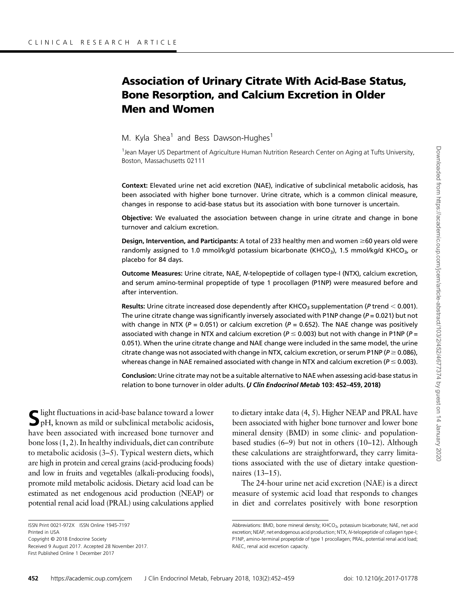# Association of Urinary Citrate With Acid-Base Status, Bone Resorption, and Calcium Excretion in Older Men and Women

M. Kyla Shea<sup>1</sup> and Bess Dawson-Hughes<sup>1</sup>

<sup>1</sup> Jean Mayer US Department of Agriculture Human Nutrition Research Center on Aging at Tufts University, Boston, Massachusetts 02111

Context: Elevated urine net acid excretion (NAE), indicative of subclinical metabolic acidosis, has been associated with higher bone turnover. Urine citrate, which is a common clinical measure, changes in response to acid-base status but its association with bone turnover is uncertain.

Objective: We evaluated the association between change in urine citrate and change in bone turnover and calcium excretion.

Design, Intervention, and Participants: A total of 233 healthy men and women  $\geq 60$  years old were randomly assigned to 1.0 mmol/kg/d potassium bicarbonate (KHCO<sub>3</sub>), 1.5 mmol/kg/d KHCO<sub>3</sub>, or placebo for 84 days.

Outcome Measures: Urine citrate, NAE, N-telopeptide of collagen type-I (NTX), calcium excretion, and serum amino-terminal propeptide of type 1 procollagen (P1NP) were measured before and after intervention.

Results: Urine citrate increased dose dependently after KHCO<sub>3</sub> supplementation (P trend  $<$  0.001). The urine citrate change was significantly inversely associated with P1NP change ( $P = 0.021$ ) but not with change in NTX ( $P = 0.051$ ) or calcium excretion ( $P = 0.652$ ). The NAE change was positively associated with change in NTX and calcium excretion ( $P \le 0.003$ ) but not with change in P1NP ( $P =$ 0.051). When the urine citrate change and NAE change were included in the same model, the urine citrate change was not associated with change in NTX, calcium excretion, or serum P1NP ( $P \ge 0.086$ ), whereas change in NAE remained associated with change in NTX and calcium excretion ( $P \le 0.003$ ).

Conclusion: Urine citrate may not be a suitable alternative to NAE when assessing acid-base status in relation to bone turnover in older adults. (*J Clin Endocrinol Metab* 103: 452-459, 2018)

 $\blacksquare$  light fluctuations in acid-base balance toward a lower pH, known as mild or subclinical metabolic acidosis, have been associated with increased bone turnover and bone loss ([1](#page-6-0), [2](#page-6-0)). In healthy individuals, diet can contribute to metabolic acidosis ([3](#page-6-0)–[5\)](#page-6-0). Typical western diets, which are high in protein and cereal grains (acid-producing foods) and low in fruits and vegetables (alkali-producing foods), promote mild metabolic acidosis. Dietary acid load can be estimated as net endogenous acid production (NEAP) or potential renal acid load (PRAL) using calculations applied

ISSN Print 0021-972X ISSN Online 1945-7197 Printed in USA Copyright © 2018 Endocrine Society Received 9 August 2017. Accepted 28 November 2017.

First Published Online 1 December 2017

to dietary intake data [\(4, 5\)](#page-6-0). Higher NEAP and PRAL have been associated with higher bone turnover and lower bone mineral density (BMD) in some clinic- and populationbased studies ([6](#page-6-0)–[9](#page-6-0)) but not in others [\(10](#page-6-0)–[12\)](#page-6-0). Although these calculations are straightforward, they carry limitations associated with the use of dietary intake questionnaires [\(13](#page-6-0)–[15](#page-6-0)).

The 24-hour urine net acid excretion (NAE) is a direct measure of systemic acid load that responds to changes in diet and correlates positively with bone resorption

Abbreviations: BMD, bone mineral density; KHCO<sub>3</sub>, potassium bicarbonate; NAE, net acid excretion; NEAP, net endogenous acid production; NTX, N-telopeptide of collagen type-I; P1NP, amino-terminal propeptide of type 1 procollagen; PRAL, potential renal acid load; RAEC, renal acid excretion capacity.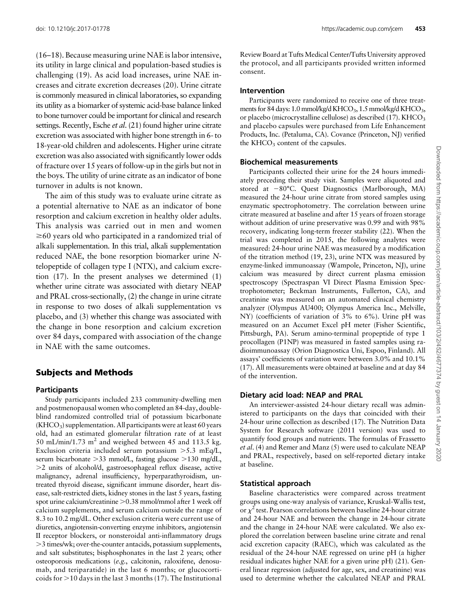([16](#page-6-0)–[18\)](#page-6-0). Because measuring urine NAE is labor intensive, its utility in large clinical and population-based studies is challenging [\(19](#page-6-0)). As acid load increases, urine NAE increases and citrate excretion decreases [\(20](#page-6-0)). Urine citrate is commonly measured in clinical laboratories, so expanding its utility as a biomarker of systemic acid-base balance linked to bone turnover could be important for clinical and research settings. Recently, Esche *et al.* [\(21\)](#page-6-0) found higher urine citrate excretion was associated with higher bone strength in 6- to 18-year-old children and adolescents. Higher urine citrate excretion was also associated with significantly lower odds of fracture over 15 years of follow-up in the girls but not in the boys. The utility of urine citrate as an indicator of bone turnover in adults is not known.

The aim of this study was to evaluate urine citrate as a potential alternative to NAE as an indicator of bone resorption and calcium excretion in healthy older adults. This analysis was carried out in men and women  $\geq$ 60 years old who participated in a randomized trial of alkali supplementation. In this trial, alkali supplementation reduced NAE, the bone resorption biomarker urine Ntelopeptide of collagen type I (NTX), and calcium excretion ([17\)](#page-6-0). In the present analyses we determined (1) whether urine citrate was associated with dietary NEAP and PRAL cross-sectionally, (2) the change in urine citrate in response to two doses of alkali supplementation vs placebo, and (3) whether this change was associated with the change in bone resorption and calcium excretion over 84 days, compared with association of the change in NAE with the same outcomes.

# Subjects and Methods

#### **Participants**

Study participants included 233 community-dwelling men and postmenopausal women who completed an 84-day, doubleblind randomized controlled trial of potassium bicarbonate  $(KHCO<sub>3</sub>)$  supplementation. All participants were at least 60 years old, had an estimated glomerular filtration rate of at least 50 mL/min/1.73 m<sup>2</sup> and weighed between 45 and 113.5 kg. Exclusion criteria included serum potassium  $>5.3$  mEq/L, serum bicarbonate  $>$ 33 mmol/L, fasting glucose  $>$ 130 mg/dL, .2 units of alcohol/d, gastroesophageal reflux disease, active malignancy, adrenal insufficiency, hyperparathyroidism, untreated thyroid disease, significant immune disorder, heart disease, salt-restricted diets, kidney stones in the last 5 years, fasting spot urine calcium/creatinine > 0.38 mmol/mmol after 1 week off calcium supplements, and serum calcium outside the range of 8.3 to 10.2 mg/dL. Other exclusion criteria were current use of diuretics, angiotensin-converting enzyme inhibitors, angiotensin II receptor blockers, or nonsteroidal anti-inflammatory drugs .3 times/wk; over-the-counter antacids, potassium supplements, and salt substitutes; bisphosphonates in the last 2 years; other osteoporosis medications (e.g., calcitonin, raloxifene, denosumab, and teriparatide) in the last 6 months; or glucocorticoids for  $>$ 10 days in the last 3 months ([17](#page-6-0)). The Institutional

Review Board at Tufts Medical Center/Tufts University approved the protocol, and all participants provided written informed consent.

#### Intervention

Participants were randomized to receive one of three treatments for 84 days: 1.0 mmol/kg/d KHCO<sub>3</sub>, 1.5 mmol/kg/d KHCO<sub>3</sub>, or placebo (microcrystalline cellulose) as described  $(17)$  $(17)$  $(17)$ . KHCO<sub>3</sub> and placebo capsules were purchased from Life Enhancement Products, Inc. (Petaluma, CA). Covance (Princeton, NJ) verified the  $KHCO<sub>3</sub>$  content of the capsules.

#### Biochemical measurements

Participants collected their urine for the 24 hours immediately preceding their study visit. Samples were aliquoted and stored at  $-80^{\circ}$ C. Quest Diagnostics (Marlborough, MA) measured the 24-hour urine citrate from stored samples using enzymatic spectrophotometry. The correlation between urine citrate measured at baseline and after 15 years of frozen storage without addition of urine preservative was 0.99 and with 98% recovery, indicating long-term freezer stability ([22\)](#page-7-0). When the trial was completed in 2015, the following analytes were measured: 24-hour urine NAE was measured by a modification of the titration method [\(19](#page-6-0), [23](#page-7-0)), urine NTX was measured by enzyme-linked immunoassay (Wampole, Princeton, NJ), urine calcium was measured by direct current plasma emission spectroscopy (Spectraspan VI Direct Plasma Emission Spectrophotometer; Beckman Instruments, Fullerton, CA), and creatinine was measured on an automated clinical chemistry analyzer (Olympus AU400; Olympus America Inc., Melville, NY) (coefficients of variation of 3% to 6%). Urine pH was measured on an Accumet Excel pH meter (Fisher Scientific, Pittsburgh, PA). Serum amino-terminal propeptide of type 1 procollagen (P1NP) was measured in fasted samples using radioimmunoassay (Orion Diagnostica Uni, Espoo, Finland). All assays' coefficients of variation were between 3.0% and 10.1% [\(17](#page-6-0)). All measurements were obtained at baseline and at day 84 of the intervention.

## Dietary acid load: NEAP and PRAL

An interviewer-assisted 24-hour dietary recall was administered to participants on the days that coincided with their 24-hour urine collection as described ([17\)](#page-6-0). The Nutrition Data System for Research software (2011 version) was used to quantify food groups and nutrients. The formulas of Frassetto et al. [\(4](#page-6-0)) and Remer and Manz ([5](#page-6-0)) were used to calculate NEAP and PRAL, respectively, based on self-reported dietary intake at baseline.

## Statistical approach

Baseline characteristics were compared across treatment groups using one-way analysis of variance, Kruskal-Wallis test, or  $\chi^2$  test. Pearson correlations between baseline 24-hour citrate and 24-hour NAE and between the change in 24-hour citrate and the change in 24-hour NAE were calculated. We also explored the correlation between baseline urine citrate and renal acid excretion capacity (RAEC), which was calculated as the residual of the 24-hour NAE regressed on urine pH (a higher residual indicates higher NAE for a given urine pH) [\(21](#page-6-0)). General linear regression (adjusted for age, sex, and creatinine) was used to determine whether the calculated NEAP and PRAL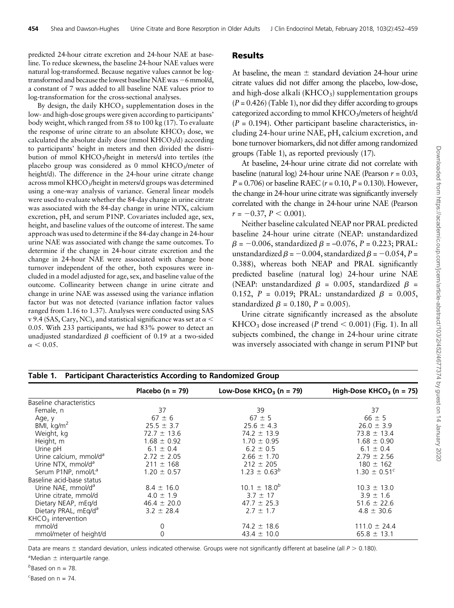predicted 24-hour citrate excretion and 24-hour NAE at baseline. To reduce skewness, the baseline 24-hour NAE values were natural log-transformed. Because negative values cannot be logtransformed and because the lowest baseline NAE was  $-6$  mmol/d, a constant of 7 was added to all baseline NAE values prior to log-transformation for the cross-sectional analyses.

By design, the daily  $KHCO<sub>3</sub>$  supplementation doses in the low- and high-dose groups were given according to participants' body weight, which ranged from 58 to 100 kg ([17\)](#page-6-0). To evaluate the response of urine citrate to an absolute  $KHCO<sub>3</sub>$  dose, we calculated the absolute daily dose (mmol  $KHCO<sub>3</sub>/d$ ) according to participants' height in meters and then divided the distribution of mmol KHCO<sub>3</sub>/height in meters/d into tertiles (the placebo group was considered as 0 mmol  $KHCO<sub>3</sub>/meter$  of height/d). The difference in the 24-hour urine citrate change across mmol KHCO<sub>3</sub>/height in meters/d groups was determined using a one-way analysis of variance. General linear models were used to evaluate whether the 84-day change in urine citrate was associated with the 84-day change in urine NTX, calcium excretion, pH, and serum P1NP. Covariates included age, sex, height, and baseline values of the outcome of interest. The same approach was used to determine if the 84-day change in 24-hour urine NAE was associated with change the same outcomes. To determine if the change in 24-hour citrate excretion and the change in 24-hour NAE were associated with change bone turnover independent of the other, both exposures were included in a model adjusted for age, sex, and baseline value of the outcome. Collinearity between change in urine citrate and change in urine NAE was assessed using the variance inflation factor but was not detected (variance inflation factor values ranged from 1.16 to 1.37). Analyses were conducted using SAS v 9.4 (SAS, Cary, NC), and statistical significance was set at  $\alpha$  < 0.05. With 233 participants, we had 83% power to detect an unadjusted standardized  $\beta$  coefficient of 0.19 at a two-sided  $\alpha$  < 0.05.

#### **Results**

At baseline, the mean  $\pm$  standard deviation 24-hour urine citrate values did not differ among the placebo, low-dose, and high-dose alkali ( $KHCO<sub>3</sub>$ ) supplementation groups  $(P = 0.426)$  (Table 1), nor did they differ according to groups categorized according to mmol  $KHCO<sub>3</sub>/meters$  of height/d  $(P = 0.194)$ . Other participant baseline characteristics, including 24-hour urine NAE, pH, calcium excretion, and bone turnover biomarkers, did not differ among randomized groups (Table 1), as reported previously [\(17](#page-6-0)).

At baseline, 24-hour urine citrate did not correlate with baseline (natural log) 24-hour urine NAE (Pearson  $r = 0.03$ ,  $P = 0.706$  or baseline RAEC ( $r = 0.10$ ,  $P = 0.130$ ). However, the change in 24-hour urine citrate was significantly inversely correlated with the change in 24-hour urine NAE (Pearson  $r = -0.37, P < 0.001$ ).

Neither baseline calculated NEAP nor PRAL predicted baseline 24-hour urine citrate (NEAP: unstandardized  $\beta$  = -0.006, standardized  $\beta$  = -0.076, P = 0.223; PRAL: unstandardized  $\beta = -0.004$ , standardized  $\beta = -0.054$ , P = 0.388), whereas both NEAP and PRAL significantly predicted baseline (natural log) 24-hour urine NAE (NEAP: unstandardized  $\beta$  = 0.005, standardized  $\beta$  = 0.152,  $P = 0.019$ ; PRAL: unstandardized  $\beta = 0.005$ , standardized  $\beta = 0.180$ ,  $P = 0.005$ ).

Urine citrate significantly increased as the absolute  $KHCO<sub>3</sub>$  dose increased (P trend  $<$  0.001) ([Fig. 1\)](#page-3-0). In all subjects combined, the change in 24-hour urine citrate was inversely associated with change in serum P1NP but

|                                    | Placebo ( $n = 79$ ) | Low-Dose $KHCO3$ (n = 79) | High-Dose KHCO <sub>3</sub> (n = 75) |
|------------------------------------|----------------------|---------------------------|--------------------------------------|
| Baseline characteristics           |                      |                           |                                      |
| Female, n                          | 37                   | 39                        | 37                                   |
| Age, y                             | $67 \pm 6$           | $67 \pm 5$                | $66 \pm 5$                           |
| BMI, $kg/m2$                       | $25.5 \pm 3.7$       | $25.6 \pm 4.3$            | $26.0 \pm 3.9$                       |
| Weight, kg                         | $72.7 \pm 13.6$      | $74.2 \pm 13.9$           | $73.8 \pm 13.4$                      |
| Height, m                          | $1.68 \pm 0.92$      | $1.70 \pm 0.95$           | $1.68 \pm 0.90$                      |
| Urine pH                           | $6.1 \pm 0.4$        | $6.2 \pm 0.5$             | $6.1 \pm 0.4$                        |
| Urine calcium, mmol/d <sup>a</sup> | $2.72 \pm 2.05$      | $2.66 \pm 1.70$           | $2.79 \pm 2.56$                      |
| Urine NTX, mmol/d <sup>a</sup>     | $211 \pm 168$        | $212 \pm 205$             | $180 \pm 162$                        |
| Serum P1NP, nmol/L <sup>a</sup>    | $1.20 \pm 0.57$      | $1.23 \pm 0.63^b$         | $1.30 \pm 0.51^{\circ}$              |
| Baseline acid-base status          |                      |                           |                                      |
| Urine NAE, mmol/d <sup>a</sup>     | $8.4 \pm 16.0$       | $10.1 \pm 18.0^{b}$       | $10.3 \pm 13.0$                      |
| Urine citrate, mmol/d              | $4.0 \pm 1.9$        | $3.7 \pm 17$              | $3.9 \pm 1.6$                        |
| Dietary NEAP, mEq/d                | $46.4 \pm 20.0$      | $47.7 \pm 25.3$           | $51.6 \pm 22.6$                      |
| Dietary PRAL, mEq/d <sup>a</sup>   | $3.2 \pm 28.4$       | $2.7 \pm 1.7$             | $4.8 \pm 30.6$                       |
| $KHCO3$ intervention               |                      |                           |                                      |
| mmol/d                             | 0                    | $74.2 \pm 18.6$           | $111.0 \pm 24.4$                     |
| mmol/meter of height/d             | 0                    | $43.4 \pm 10.0$           | $65.8 \pm 13.1$                      |

Table 1. Participant Characteristics According to Randomized Group

Data are means  $\pm$  standard deviation, unless indicated otherwise. Groups were not significantly different at baseline (all  $P > 0.180$ ).

 $^a$ Median  $\pm$  interquartile range.

 $<sup>b</sup>$ Based on n = 78.</sup>

 $c$ Based on  $n = 74$ .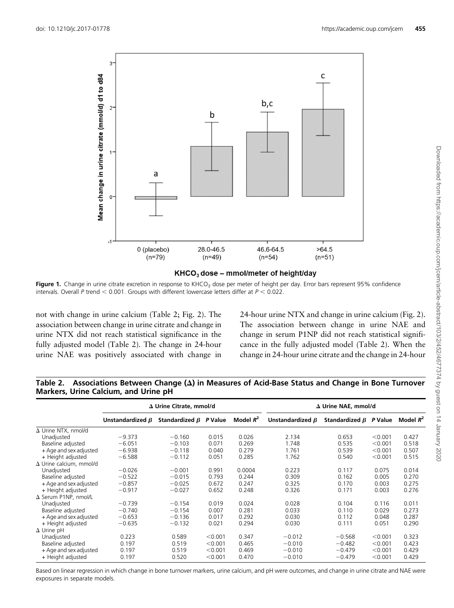<span id="page-3-0"></span>

#### $KHCO<sub>3</sub>$  dose - mmol/meter of height/day

Figure 1. Change in urine citrate excretion in response to KHCO<sub>3</sub> dose per meter of height per day. Error bars represent 95% confidence intervals. Overall P trend  $< 0.001$ . Groups with different lowercase letters differ at  $P < 0.022$ .

not with change in urine calcium (Table 2; [Fig. 2\)](#page-4-0). The association between change in urine citrate and change in urine NTX did not reach statistical significance in the fully adjusted model (Table 2). The change in 24-hour urine NAE was positively associated with change in 24-hour urine NTX and change in urine calcium ([Fig. 2](#page-4-0)). The association between change in urine NAE and change in serum P1NP did not reach statistical significance in the fully adjusted model (Table 2). When the change in 24-hour urine citrate and the change in 24-hour

|                                | ∆ Urine Citrate, mmol/d |                              |         | $\Delta$ Urine NAE, mmol/d |                        |                              |         |             |
|--------------------------------|-------------------------|------------------------------|---------|----------------------------|------------------------|------------------------------|---------|-------------|
|                                | Unstandardized $\beta$  | Standardized $\beta$ P Value |         | Model $R^2$                | Unstandardized $\beta$ | Standardized $\beta$ P Value |         | Model $R^2$ |
| $\Delta$ Urine NTX, nmol/d     |                         |                              |         |                            |                        |                              |         |             |
| Unadjusted                     | $-9.373$                | $-0.160$                     | 0.015   | 0.026                      | 2.134                  | 0.653                        | < 0.001 | 0.427       |
| Baseline adjusted              | $-6.051$                | $-0.103$                     | 0.071   | 0.269                      | 1.748                  | 0.535                        | < 0.001 | 0.518       |
| + Age and sex adjusted         | $-6.938$                | $-0.118$                     | 0.040   | 0.279                      | 1.761                  | 0.539                        | < 0.001 | 0.507       |
| + Height adjusted              | $-6.588$                | $-0.112$                     | 0.051   | 0.285                      | 1.762                  | 0.540                        | < 0.001 | 0.515       |
| $\Delta$ Urine calcium, mmol/d |                         |                              |         |                            |                        |                              |         |             |
| Unadiusted                     | $-0.026$                | $-0.001$                     | 0.991   | 0.0004                     | 0.223                  | 0.117                        | 0.075   | 0.014       |
| Baseline adjusted              | $-0.522$                | $-0.015$                     | 0.793   | 0.244                      | 0.309                  | 0.162                        | 0.005   | 0.270       |
| + Age and sex adjusted         | $-0.857$                | $-0.025$                     | 0.672   | 0.247                      | 0.325                  | 0.170                        | 0.003   | 0.275       |
| + Height adjusted              | $-0.917$                | $-0.027$                     | 0.652   | 0.248                      | 0.326                  | 0.171                        | 0.003   | 0.276       |
| $\Delta$ Serum P1NP, nmol/L    |                         |                              |         |                            |                        |                              |         |             |
| Unadjusted                     | $-0.739$                | $-0.154$                     | 0.019   | 0.024                      | 0.028                  | 0.104                        | 0.116   | 0.011       |
| Baseline adjusted              | $-0.740$                | $-0.154$                     | 0.007   | 0.281                      | 0.033                  | 0.110                        | 0.029   | 0.273       |
| + Age and sex adjusted         | $-0.653$                | $-0.136$                     | 0.017   | 0.292                      | 0.030                  | 0.112                        | 0.048   | 0.287       |
| + Height adjusted              | $-0.635$                | $-0.132$                     | 0.021   | 0.294                      | 0.030                  | 0.111                        | 0.051   | 0.290       |
| $\Delta$ Urine pH              |                         |                              |         |                            |                        |                              |         |             |
| Unadjusted                     | 0.223                   | 0.589                        | < 0.001 | 0.347                      | $-0.012$               | $-0.568$                     | < 0.001 | 0.323       |
| Baseline adjusted              | 0.197                   | 0.519                        | < 0.001 | 0.465                      | $-0.010$               | $-0.482$                     | < 0.001 | 0.423       |
| + Age and sex adjusted         | 0.197                   | 0.519                        | < 0.001 | 0.469                      | $-0.010$               | $-0.479$                     | < 0.001 | 0.429       |
| + Height adjusted              | 0.197                   | 0.520                        | < 0.001 | 0.470                      | $-0.010$               | $-0.479$                     | < 0.001 | 0.429       |

Table 2. Associations Between Change  $(\Delta)$  in Measures of Acid-Base Status and Change in Bone Turnover Markers, Urine Calcium, and Urine pH

Based on linear regression in which change in bone turnover markers, urine calcium, and pH were outcomes, and change in urine citrate and NAE were exposures in separate models.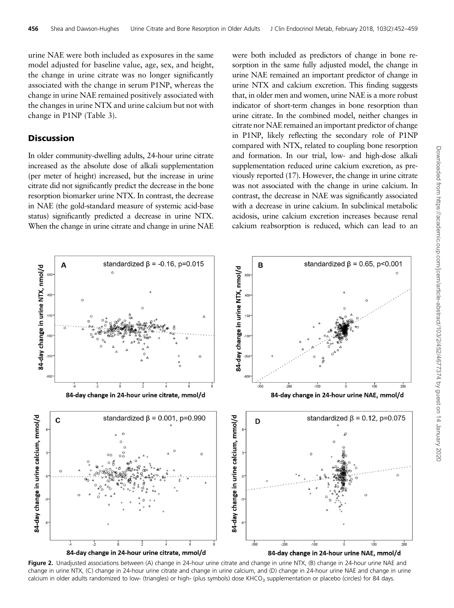<span id="page-4-0"></span>urine NAE were both included as exposures in the same model adjusted for baseline value, age, sex, and height, the change in urine citrate was no longer significantly associated with the change in serum P1NP, whereas the change in urine NAE remained positively associated with the changes in urine NTX and urine calcium but not with change in P1NP ([Table 3\)](#page-5-0).

## **Discussion**

In older community-dwelling adults, 24-hour urine citrate increased as the absolute dose of alkali supplementation (per meter of height) increased, but the increase in urine citrate did not significantly predict the decrease in the bone resorption biomarker urine NTX. In contrast, the decrease in NAE (the gold-standard measure of systemic acid-base status) significantly predicted a decrease in urine NTX. When the change in urine citrate and change in urine NAE were both included as predictors of change in bone resorption in the same fully adjusted model, the change in urine NAE remained an important predictor of change in urine NTX and calcium excretion. This finding suggests that, in older men and women, urine NAE is a more robust indicator of short-term changes in bone resorption than urine citrate. In the combined model, neither changes in citrate nor NAE remained an important predictor of change in P1NP, likely reflecting the secondary role of P1NP compared with NTX, related to coupling bone resorption and formation. In our trial, low- and high-dose alkali supplementation reduced urine calcium excretion, as previously reported [\(17\)](#page-6-0). However, the change in urine citrate was not associated with the change in urine calcium. In contrast, the decrease in NAE was significantly associated with a decrease in urine calcium. In subclinical metabolic acidosis, urine calcium excretion increases because renal calcium reabsorption is reduced, which can lead to an



Figure 2. Unadjusted associations between (A) change in 24-hour urine citrate and change in urine NTX, (B) change in 24-hour urine NAE and change in urine NTX, (C) change in 24-hour urine citrate and change in urine calcium, and (D) change in 24-hour urine NAE and change in urine calcium in older adults randomized to low- (triangles) or high- (plus symbols) dose  $K HCO<sub>3</sub>$  supplementation or placebo (circles) for 84 days.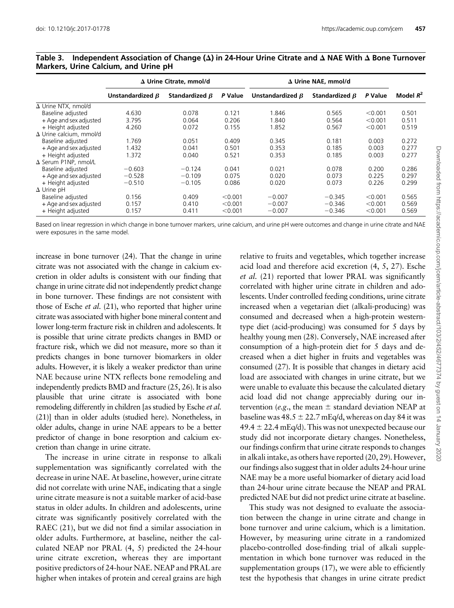|                                | $\Delta$ Urine Citrate, mmol/d |                      |         | $\Delta$ Urine NAE, mmol/d |                      |         |             |
|--------------------------------|--------------------------------|----------------------|---------|----------------------------|----------------------|---------|-------------|
|                                | Unstandardized $\beta$         | Standardized $\beta$ | P Value | Unstandardized $\beta$     | Standardized $\beta$ | P Value | Model $R^2$ |
| $\Delta$ Urine NTX, nmol/d     |                                |                      |         |                            |                      |         |             |
| Baseline adjusted              | 4.630                          | 0.078                | 0.121   | 1.846                      | 0.565                | < 0.001 | 0.501       |
| + Age and sex adjusted         | 3.795                          | 0.064                | 0.206   | 1.840                      | 0.564                | < 0.001 | 0.511       |
| + Height adjusted              | 4.260                          | 0.072                | 0.155   | 1.852                      | 0.567                | < 0.001 | 0.519       |
| $\Delta$ Urine calcium, mmol/d |                                |                      |         |                            |                      |         |             |
| Baseline adjusted              | 1.769                          | 0.051                | 0.409   | 0.345                      | 0.181                | 0.003   | 0.272       |
| + Age and sex adjusted         | 1.432                          | 0.041                | 0.501   | 0.353                      | 0.185                | 0.003   | 0.277       |
| + Height adjusted              | 1.372                          | 0.040                | 0.521   | 0.353                      | 0.185                | 0.003   | 0.277       |
| $\Delta$ Serum P1NP, nmol/L    |                                |                      |         |                            |                      |         |             |
| Baseline adjusted              | $-0.603$                       | $-0.124$             | 0.041   | 0.021                      | 0.078                | 0.200   | 0.286       |
| + Age and sex adjusted         | $-0.528$                       | $-0.109$             | 0.075   | 0.020                      | 0.073                | 0.225   | 0.297       |
| + Height adjusted              | $-0.510$                       | $-0.105$             | 0.086   | 0.020                      | 0.073                | 0.226   | 0.299       |
| $\Delta$ Urine pH              |                                |                      |         |                            |                      |         |             |
| Baseline adjusted              | 0.156                          | 0.409                | < 0.001 | $-0.007$                   | $-0.345$             | < 0.001 | 0.565       |
| + Age and sex adjusted         | 0.157                          | 0.410                | < 0.001 | $-0.007$                   | $-0.346$             | < 0.001 | 0.569       |
| + Height adjusted              | 0.157                          | 0.411                | < 0.001 | $-0.007$                   | $-0.346$             | < 0.001 | 0.569       |

#### <span id="page-5-0"></span>Table 3. Independent Association of Change ( $\Delta$ ) in 24-Hour Urine Citrate and  $\Delta$  NAE With  $\Delta$  Bone Turnover Markers, Urine Calcium, and Urine pH

Based on linear regression in which change in bone turnover markers, urine calcium, and urine pH were outcomes and change in urine citrate and NAE were exposures in the same model.

increase in bone turnover [\(24](#page-7-0)). That the change in urine citrate was not associated with the change in calcium excretion in older adults is consistent with our finding that change in urine citrate did not independently predict change in bone turnover. These findings are not consistent with those of Esche *et al.* [\(21](#page-6-0)), who reported that higher urine citrate was associated with higher bone mineral content and lower long-term fracture risk in children and adolescents. It is possible that urine citrate predicts changes in BMD or fracture risk, which we did not measure, more so than it predicts changes in bone turnover biomarkers in older adults. However, it is likely a weaker predictor than urine NAE because urine NTX reflects bone remodeling and independently predicts BMD and fracture [\(25, 26\)](#page-7-0). It is also plausible that urine citrate is associated with bone remodeling differently in children [as studied by Esche *et al.* [\(21\)](#page-6-0)] than in older adults (studied here). Nonetheless, in older adults, change in urine NAE appears to be a better predictor of change in bone resorption and calcium excretion than change in urine citrate.

The increase in urine citrate in response to alkali supplementation was significantly correlated with the decrease in urine NAE. At baseline, however, urine citrate did not correlate with urine NAE, indicating that a single urine citrate measure is not a suitable marker of acid-base status in older adults. In children and adolescents, urine citrate was significantly positively correlated with the RAEC [\(21](#page-6-0)), but we did not find a similar association in older adults. Furthermore, at baseline, neither the calculated NEAP nor PRAL ([4](#page-6-0), [5\)](#page-6-0) predicted the 24-hour urine citrate excretion, whereas they are important positive predictors of 24-hour NAE. NEAP and PRAL are higher when intakes of protein and cereal grains are high relative to fruits and vegetables, which together increase acid load and therefore acid excretion ([4](#page-6-0), [5,](#page-6-0) [27\)](#page-7-0). Esche et al. ([21\)](#page-6-0) reported that lower PRAL was significantly correlated with higher urine citrate in children and adolescents. Under controlled feeding conditions, urine citrate increased when a vegetarian diet (alkali-producing) was consumed and decreased when a high-protein westerntype diet (acid-producing) was consumed for 5 days by healthy young men [\(28](#page-7-0)). Conversely, NAE increased after consumption of a high-protein diet for 5 days and decreased when a diet higher in fruits and vegetables was consumed ([27](#page-7-0)). It is possible that changes in dietary acid load are associated with changes in urine citrate, but we were unable to evaluate this because the calculated dietary acid load did not change appreciably during our intervention (e.g., the mean  $\pm$  standard deviation NEAP at baseline was  $48.5 \pm 22.7$  mEq/d, whereas on day 84 it was  $49.4 \pm 22.4$  mEq/d). This was not unexpected because our study did not incorporate dietary changes. Nonetheless, our findings confirm that urine citrate responds to changes in alkali intake, as others have reported ([20,](#page-6-0) [29\)](#page-7-0). However, our findings also suggest that in older adults 24-hour urine NAE may be a more useful biomarker of dietary acid load than 24-hour urine citrate because the NEAP and PRAL predicted NAE but did not predict urine citrate at baseline.

This study was not designed to evaluate the association between the change in urine citrate and change in bone turnover and urine calcium, which is a limitation. However, by measuring urine citrate in a randomized placebo-controlled dose-finding trial of alkali supplementation in which bone turnover was reduced in the supplementation groups ([17\)](#page-6-0), we were able to efficiently test the hypothesis that changes in urine citrate predict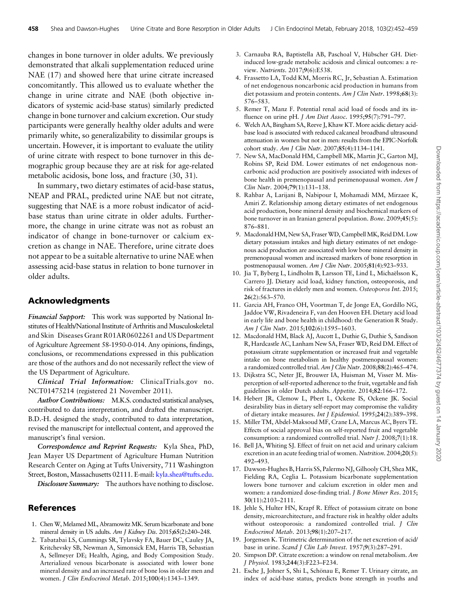<span id="page-6-0"></span>changes in bone turnover in older adults. We previously demonstrated that alkali supplementation reduced urine NAE (17) and showed here that urine citrate increased concomitantly. This allowed us to evaluate whether the change in urine citrate and NAE (both objective indicators of systemic acid-base status) similarly predicted change in bone turnover and calcium excretion. Our study participants were generally healthy older adults and were primarily white, so generalizability to dissimilar groups is uncertain. However, it is important to evaluate the utility of urine citrate with respect to bone turnover in this demographic group because they are at risk for age-related metabolic acidosis, bone loss, and fracture [\(30](#page-7-0), [31\)](#page-7-0).

In summary, two dietary estimates of acid-base status, NEAP and PRAL, predicted urine NAE but not citrate, suggesting that NAE is a more robust indicator of acidbase status than urine citrate in older adults. Furthermore, the change in urine citrate was not as robust an indicator of change in bone-turnover or calcium excretion as change in NAE. Therefore, urine citrate does not appear to be a suitable alternative to urine NAE when assessing acid-base status in relation to bone turnover in older adults.

## Acknowledgments

Financial Support: This work was supported by National Institutes of Health/National Institute of Arthritis and Musculoskeletal and Skin Diseases Grant R01AR0602261 and US Department of Agriculture Agreement 58-1950-0-014. Any opinions, findings, conclusions, or recommendations expressed in this publication are those of the authors and do not necessarily reflect the view of the US Department of Agriculture.

Clinical Trial Information: ClinicalTrials.gov no. NCT01475214 (registered 21 November 2011).

Author Contributions: M.K.S. conducted statistical analyses, contributed to data interpretation, and drafted the manuscript. B.D.-H. designed the study, contributed to data interpretation, revised the manuscript for intellectual content, and approved the manuscript's final version.

Correspondence and Reprint Requests: Kyla Shea, PhD, Jean Mayer US Department of Agriculture Human Nutrition Research Center on Aging at Tufts University, 711 Washington Street, Boston, Massachusetts 02111. E-mail: [kyla.shea@tufts.edu](mailto:kyla.shea@tufts.edu).

Disclosure Summary: The authors have nothing to disclose.

#### References

- 1. Chen W, Melamed ML, Abramowitz MK. Serum bicarbonate and bone mineral density in US adults. Am J Kidney Dis. 2015;65(2):240-248.
- 2. Tabatabai LS, Cummings SR, Tylavsky FA, Bauer DC, Cauley JA, Kritchevsky SB, Newman A, Simonsick EM, Harris TB, Sebastian A, Sellmeyer DE; Health, Aging, and Body Composition Study. Arterialized venous bicarbonate is associated with lower bone mineral density and an increased rate of bone loss in older men and women. J Clin Endocrinol Metab. 2015;100(4):1343–1349.
- 3. Carnauba RA, Baptistella AB, Paschoal V, Hübscher GH. Dietinduced low-grade metabolic acidosis and clinical outcomes: a review. Nutrients. 2017;9(6):E538.
- 4. Frassetto LA, Todd KM, Morris RC, Jr, Sebastian A. Estimation of net endogenous noncarbonic acid production in humans from diet potassium and protein contents. Am J Clin Nutr. 1998;68(3): 576–583.
- 5. Remer T, Manz F. Potential renal acid load of foods and its influence on urine pH. J Am Diet Assoc. 1995;95(7):791–797.
- 6. Welch AA, Bingham SA, Reeve J, Khaw KT. More acidic dietary acidbase load is associated with reduced calcaneal broadband ultrasound attenuation in women but not in men: results from the EPIC-Norfolk cohort study. Am J Clin Nutr. 2007;85(4):1134–1141.
- 7. New SA, MacDonald HM, Campbell MK, Martin JC, Garton MJ, Robins SP, Reid DM. Lower estimates of net endogenous noncarbonic acid production are positively associated with indexes of bone health in premenopausal and perimenopausal women. Am J Clin Nutr. 2004;79(1):131–138.
- 8. Rahbar A, Larijani B, Nabipour I, Mohamadi MM, Mirzaee K, Amiri Z. Relationship among dietary estimates of net endogenous acid production, bone mineral density and biochemical markers of bone turnover in an Iranian general population. Bone. 2009;45(5): 876–881.
- 9. Macdonald HM, New SA, Fraser WD, Campbell MK, Reid DM. Low dietary potassium intakes and high dietary estimates of net endogenous acid production are associated with low bone mineral density in premenopausal women and increased markers of bone resorption in postmenopausal women. Am J Clin Nutr. 2005;81(4):923–933.
- 10. Jia T, Byberg L, Lindholm B, Larsson TE, Lind L, Michaëlsson K, Carrero JJ. Dietary acid load, kidney function, osteoporosis, and risk of fractures in elderly men and women. Osteoporos Int. 2015; 26(2):563–570.
- 11. Garcia AH, Franco OH, Voortman T, de Jonge EA, Gordillo NG, Jaddoe VW, Rivadeneira F, van den Hooven EH. Dietary acid load in early life and bone health in childhood: the Generation R Study. Am J Clin Nutr. 2015;102(6):1595–1603.
- 12. Macdonald HM, Black AJ, Aucott L, Duthie G, Duthie S, Sandison R, Hardcastle AC, Lanham New SA, Fraser WD, Reid DM. Effect of potassium citrate supplementation or increased fruit and vegetable intake on bone metabolism in healthy postmenopausal women: a randomized controlled trial. Am J Clin Nutr. 2008;88(2):465–474.
- 13. Dijkstra SC, Neter JE, Brouwer IA, Huisman M, Visser M. Misperception of self-reported adherence to the fruit, vegetable and fish guidelines in older Dutch adults. Appetite. 2014;82:166–172.
- 14. Hebert JR, Clemow L, Pbert L, Ockene IS, Ockene JK. Social desirability bias in dietary self-report may compromise the validity of dietary intake measures. Int J Epidemiol. 1995;24(2):389–398.
- 15. Miller TM, Abdel-Maksoud MF, Crane LA, Marcus AC, Byers TE. Effects of social approval bias on self-reported fruit and vegetable consumption: a randomized controlled trial. Nutr J. 2008;7(1):18.
- 16. Bell JA, Whiting SJ. Effect of fruit on net acid and urinary calcium excretion in an acute feeding trial of women. Nutrition. 2004;20(5): 492–493.
- 17. Dawson-Hughes B, Harris SS, Palermo NJ, Gilhooly CH, Shea MK, Fielding RA, Ceglia L. Potassium bicarbonate supplementation lowers bone turnover and calcium excretion in older men and women: a randomized dose-finding trial. J Bone Miner Res. 2015; 30(11):2103–2111.
- 18. Jehle S, Hulter HN, Krapf R. Effect of potassium citrate on bone density, microarchitecture, and fracture risk in healthy older adults without osteoporosis: a randomized controlled trial. *J Clin* Endocrinol Metab. 2013;98(1):207–217.
- 19. Jorgensen K. Titrimetric determination of the net excretion of acid/ base in urine. Scand J Clin Lab Invest. 1957;9(3):287–291.
- 20. Simpson DP. Citrate excretion: a window on renal metabolism. Am J Physiol. 1983;244(3):F223–F234.
- 21. Esche J, Johner S, Shi L, Schönau E, Remer T. Urinary citrate, an index of acid-base status, predicts bone strength in youths and